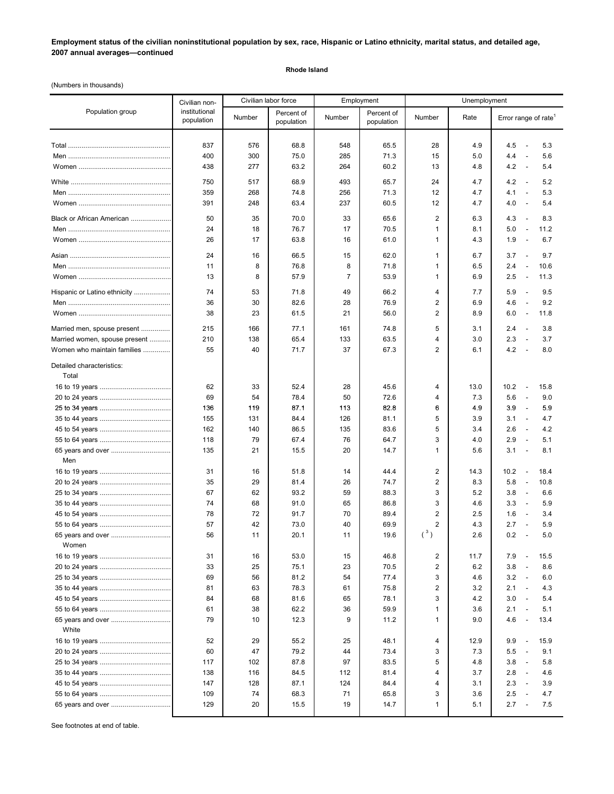# **Employment status of the civilian noninstitutional population by sex, race, Hispanic or Latino ethnicity, marital status, and detailed age, 2007 annual averages—continued**

#### **Rhode Island**

(Numbers in thousands)

|                                    | Civilian non-               |         | Civilian labor force     |                | Employment               | Unemployment            |            |                                          |
|------------------------------------|-----------------------------|---------|--------------------------|----------------|--------------------------|-------------------------|------------|------------------------------------------|
| Population group                   | institutional<br>population | Number  | Percent of<br>population | Number         | Percent of<br>population | Number                  | Rate       | Error range of rate <sup>1</sup>         |
|                                    |                             |         |                          |                |                          |                         |            |                                          |
|                                    | 837                         | 576     | 68.8                     | 548            | 65.5                     | 28                      | 4.9        | 4.5<br>5.3<br>$\overline{\phantom{a}}$   |
|                                    | 400                         | 300     | 75.0                     | 285            | 71.3                     | 15                      | 5.0        | 4.4<br>5.6<br>$\overline{\phantom{a}}$   |
|                                    | 438                         | 277     | 63.2                     | 264            | 60.2                     | 13                      | 4.8        | 4.2<br>5.4<br>$\sim$                     |
|                                    | 750                         | 517     | 68.9                     | 493            | 65.7                     | 24                      | 4.7        | 4.2<br>5.2<br>$\overline{\phantom{a}}$   |
|                                    | 359                         | 268     | 74.8                     | 256            | 71.3                     | 12                      | 4.7        | 4.1<br>5.3<br>$\overline{\phantom{a}}$   |
|                                    | 391                         | 248     | 63.4                     | 237            | 60.5                     | 12                      | 4.7        | 4.0<br>5.4<br>$\overline{\phantom{a}}$   |
| Black or African American          | 50                          | 35      | 70.0                     | 33             | 65.6                     | $\overline{2}$          | 6.3        | 4.3<br>8.3<br>$\overline{\phantom{a}}$   |
|                                    | 24                          | 18      | 76.7                     | 17             | 70.5                     | $\mathbf{1}$            | 8.1        | 5.0<br>11.2<br>$\overline{\phantom{a}}$  |
|                                    | 26                          | 17      | 63.8                     | 16             | 61.0                     | $\mathbf{1}$            | 4.3        | 1.9<br>6.7<br>$\overline{\phantom{a}}$   |
|                                    | 24                          |         | 66.5                     | 15             | 62.0                     |                         |            | 3.7<br>9.7<br>$\overline{\phantom{a}}$   |
|                                    | 11                          | 16<br>8 | 76.8                     | 8              | 71.8                     | 1<br>$\mathbf{1}$       | 6.7<br>6.5 | 2.4<br>10.6<br>$\overline{\phantom{a}}$  |
|                                    | 13                          | 8       | 57.9                     | $\overline{7}$ | 53.9                     | $\mathbf{1}$            | 6.9        | 2.5<br>11.3<br>$\overline{\phantom{a}}$  |
|                                    |                             |         |                          |                |                          |                         |            |                                          |
| Hispanic or Latino ethnicity       | 74                          | 53      | 71.8                     | 49             | 66.2                     | $\overline{4}$          | 7.7        | 5.9<br>9.5<br>$\sim$                     |
|                                    | 36                          | 30      | 82.6                     | 28             | 76.9                     | 2                       | 6.9        | 4.6<br>$\overline{\phantom{a}}$<br>9.2   |
|                                    | 38                          | 23      | 61.5                     | 21             | 56.0                     | 2                       | 8.9        | 6.0<br>11.8<br>$\overline{\phantom{a}}$  |
| Married men, spouse present        | 215                         | 166     | 77.1                     | 161            | 74.8                     | 5                       | 3.1        | 2.4<br>3.8<br>$\sim$                     |
| Married women, spouse present      | 210                         | 138     | 65.4                     | 133            | 63.5                     | $\overline{4}$          | 3.0        | 3.7<br>2.3<br>$\overline{\phantom{a}}$   |
| Women who maintain families        | 55                          | 40      | 71.7                     | 37             | 67.3                     | $\overline{2}$          | 6.1        | 4.2<br>8.0<br>$\overline{\phantom{a}}$   |
| Detailed characteristics:<br>Total |                             |         |                          |                |                          |                         |            |                                          |
|                                    | 62                          | 33      | 52.4                     | 28             | 45.6                     | 4                       | 13.0       | 10.2<br>15.8<br>$\overline{\phantom{a}}$ |
|                                    | 69                          | 54      | 78.4                     | 50             | 72.6                     | 4                       | 7.3        | 5.6<br>9.0<br>$\overline{\phantom{a}}$   |
|                                    | 136                         | 119     | 87.1                     | 113            | 82.8                     | 6                       | 4.9        | 3.9<br>5.9<br>$\overline{\phantom{a}}$   |
|                                    | 155                         | 131     | 84.4                     | 126            | 81.1                     | 5                       | 3.9        | 4.7<br>3.1<br>$\overline{\phantom{a}}$   |
|                                    | 162                         | 140     | 86.5                     | 135            | 83.6                     | 5                       | 3.4        | 2.6<br>4.2<br>$\overline{\phantom{a}}$   |
|                                    | 118                         | 79      | 67.4                     | 76             | 64.7                     | 3                       | 4.0        | 2.9<br>5.1<br>$\overline{\phantom{a}}$   |
|                                    | 135                         | 21      | 15.5                     | 20             | 14.7                     | $\mathbf{1}$            | 5.6        | 3.1<br>8.1<br>$\overline{\phantom{a}}$   |
| Men                                |                             |         |                          |                |                          |                         |            |                                          |
|                                    | 31                          | 16      | 51.8                     | 14             | 44.4                     | $\overline{2}$          | 14.3       | 10.2<br>18.4<br>$\overline{\phantom{a}}$ |
|                                    | 35                          | 29      | 81.4                     | 26             | 74.7                     | $\overline{2}$          | 8.3        | 5.8<br>10.8<br>$\overline{\phantom{a}}$  |
|                                    | 67                          | 62      | 93.2                     | 59             | 88.3                     | 3                       | 5.2        | 3.8<br>6.6<br>$\overline{\phantom{a}}$   |
|                                    | 74                          | 68      | 91.0                     | 65             | 86.8                     | 3                       | 4.6        | 3.3<br>5.9<br>$\overline{\phantom{a}}$   |
|                                    | 78                          | 72      | 91.7                     | 70             | 89.4                     | $\overline{2}$          | 2.5        | 1.6<br>3.4<br>$\overline{\phantom{a}}$   |
|                                    | 57                          | 42      | 73.0                     | 40             | 69.9                     | $\overline{2}$          | 4.3        | 2.7<br>5.9<br>$\overline{\phantom{a}}$   |
| 65 years and over                  | 56                          | 11      | 20.1                     | 11             | 19.6                     | $(^3)$                  | 2.6        | 0.2<br>5.0<br>$\overline{\phantom{a}}$   |
| Women                              |                             |         |                          |                |                          |                         |            |                                          |
|                                    | 31                          | 16      | 53.0                     | 15             | 46.8                     | $\overline{\mathbf{c}}$ | 11.7       | 7.9<br>15.5<br>$\overline{\phantom{a}}$  |
|                                    | 33                          | 25      | 75.1                     | 23             | 70.5                     | $\overline{\mathbf{c}}$ | 6.2        | 3.8<br>8.6<br>$\overline{\phantom{a}}$   |
|                                    | 69                          | 56      | 81.2                     | 54             | 77.4                     | 3                       | 4.6        | 3.2<br>$\overline{\phantom{a}}$<br>6.0   |
|                                    | 81                          | 63      | 78.3                     | 61             | 75.8                     | $\overline{\mathbf{c}}$ | 3.2        | 2.1<br>4.3<br>$\sim$                     |
|                                    | 84                          | 68      | 81.6                     | 65             | 78.1                     | 3                       | 4.2        | 3.0<br>5.4<br>$\sim$                     |
|                                    | 61                          | 38      | 62.2                     | 36             | 59.9                     | 1                       | 3.6        | 2.1<br>5.1<br>$\frac{1}{2}$              |
| 65 years and over<br>White         | 79                          | 10      | 12.3                     | 9              | 11.2                     | $\mathbf{1}$            | 9.0        | 4.6<br>13.4<br>$\overline{\phantom{a}}$  |
|                                    | 52                          | 29      | 55.2                     | 25             | 48.1                     | 4                       | 12.9       | 9.9<br>15.9<br>$\overline{\phantom{a}}$  |
|                                    | 60                          | 47      | 79.2                     | 44             | 73.4                     | 3                       | 7.3        | 5.5<br>9.1<br>$\overline{\phantom{a}}$   |
|                                    | 117                         | 102     | 87.8                     | 97             | 83.5                     | 5                       | 4.8        | 3.8<br>5.8<br>$\overline{\phantom{a}}$   |
|                                    | 138                         | 116     | 84.5                     | 112            | 81.4                     | 4                       | 3.7        | 2.8<br>4.6<br>$\overline{\phantom{a}}$   |
|                                    | 147                         | 128     | 87.1                     | 124            | 84.4                     | 4                       | 3.1        | 2.3<br>3.9<br>$\overline{\phantom{a}}$   |
|                                    | 109                         | 74      | 68.3                     | 71             | 65.8                     | 3                       | 3.6        | 2.5<br>4.7<br>$\overline{\phantom{a}}$   |
| 65 years and over                  | 129                         | 20      | 15.5                     | 19             | 14.7                     | 1                       | 5.1        | 2.7<br>7.5<br>$\overline{\phantom{a}}$   |
|                                    |                             |         |                          |                |                          |                         |            |                                          |

See footnotes at end of table.